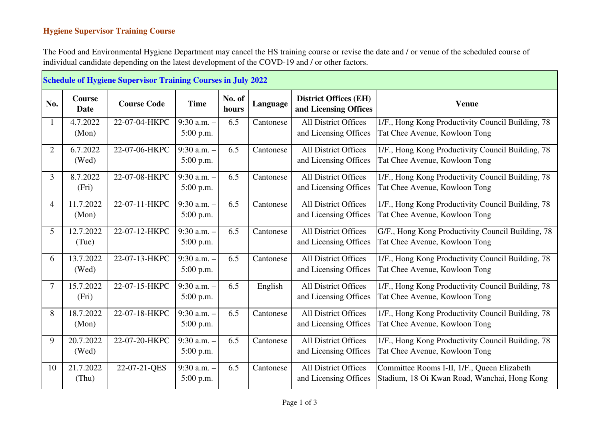## **Hygiene Supervisor Training Course**

The Food and Environmental Hygiene Department may cancel the HS training course or revise the date and / or venue of the scheduled course of individual candidate depending on the latest development of the COVD-19 and / or other factors.

| <b>Schedule of Hygiene Supervisor Training Courses in July 2022</b> |                       |                    |                              |                 |           |                                                       |                                                                                             |  |
|---------------------------------------------------------------------|-----------------------|--------------------|------------------------------|-----------------|-----------|-------------------------------------------------------|---------------------------------------------------------------------------------------------|--|
| No.                                                                 | <b>Course</b><br>Date | <b>Course Code</b> | <b>Time</b>                  | No. of<br>hours | Language  | <b>District Offices (EH)</b><br>and Licensing Offices | <b>Venue</b>                                                                                |  |
|                                                                     | 4.7.2022<br>(Mon)     | 22-07-04-HKPC      | $9:30$ a.m. $-$<br>5:00 p.m. | 6.5             | Cantonese | <b>All District Offices</b><br>and Licensing Offices  | 1/F., Hong Kong Productivity Council Building, 78<br>Tat Chee Avenue, Kowloon Tong          |  |
| $\overline{2}$                                                      | 6.7.2022<br>(Wed)     | 22-07-06-HKPC      | 9:30 a.m. -<br>5:00 p.m.     | 6.5             | Cantonese | <b>All District Offices</b><br>and Licensing Offices  | 1/F., Hong Kong Productivity Council Building, 78<br>Tat Chee Avenue, Kowloon Tong          |  |
| 3                                                                   | 8.7.2022<br>(Fri)     | 22-07-08-HKPC      | 9:30 a.m. -<br>5:00 p.m.     | 6.5             | Cantonese | <b>All District Offices</b><br>and Licensing Offices  | 1/F., Hong Kong Productivity Council Building, 78<br>Tat Chee Avenue, Kowloon Tong          |  |
| $\overline{4}$                                                      | 11.7.2022<br>(Mon)    | 22-07-11-HKPC      | 9:30 a.m. -<br>5:00 p.m.     | 6.5             | Cantonese | All District Offices<br>and Licensing Offices         | 1/F., Hong Kong Productivity Council Building, 78<br>Tat Chee Avenue, Kowloon Tong          |  |
| 5                                                                   | 12.7.2022<br>(Tue)    | 22-07-12-HKPC      | $9:30$ a.m. $-$<br>5:00 p.m. | 6.5             | Cantonese | <b>All District Offices</b><br>and Licensing Offices  | G/F., Hong Kong Productivity Council Building, 78<br>Tat Chee Avenue, Kowloon Tong          |  |
| 6                                                                   | 13.7.2022<br>(Wed)    | 22-07-13-HKPC      | $9:30$ a.m. $-$<br>5:00 p.m. | 6.5             | Cantonese | <b>All District Offices</b><br>and Licensing Offices  | 1/F., Hong Kong Productivity Council Building, 78<br>Tat Chee Avenue, Kowloon Tong          |  |
| 7                                                                   | 15.7.2022<br>(Fri)    | 22-07-15-HKPC      | $9:30$ a.m. $-$<br>5:00 p.m. | 6.5             | English   | <b>All District Offices</b><br>and Licensing Offices  | 1/F., Hong Kong Productivity Council Building, 78<br>Tat Chee Avenue, Kowloon Tong          |  |
| 8                                                                   | 18.7.2022<br>(Mon)    | 22-07-18-HKPC      | 9:30 a.m. -<br>$5:00$ p.m.   | 6.5             | Cantonese | <b>All District Offices</b><br>and Licensing Offices  | 1/F., Hong Kong Productivity Council Building, 78<br>Tat Chee Avenue, Kowloon Tong          |  |
| 9                                                                   | 20.7.2022<br>(Wed)    | 22-07-20-HKPC      | 9:30 a.m. $-$<br>5:00 p.m.   | 6.5             | Cantonese | <b>All District Offices</b><br>and Licensing Offices  | 1/F., Hong Kong Productivity Council Building, 78<br>Tat Chee Avenue, Kowloon Tong          |  |
| 10                                                                  | 21.7.2022<br>(Thu)    | 22-07-21-QES       | $9:30$ a.m. $-$<br>5:00 p.m. | 6.5             | Cantonese | <b>All District Offices</b><br>and Licensing Offices  | Committee Rooms I-II, 1/F., Queen Elizabeth<br>Stadium, 18 Oi Kwan Road, Wanchai, Hong Kong |  |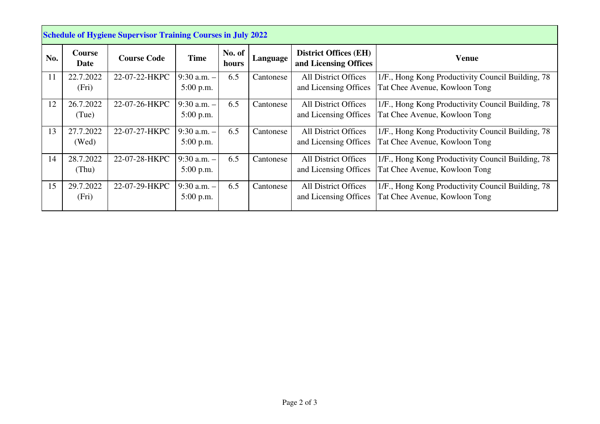| <b>Schedule of Hygiene Supervisor Training Courses in July 2022</b> |                    |                    |                                |                 |           |                                                       |                                                                                    |
|---------------------------------------------------------------------|--------------------|--------------------|--------------------------------|-----------------|-----------|-------------------------------------------------------|------------------------------------------------------------------------------------|
| No.                                                                 | Course<br>Date     | <b>Course Code</b> | <b>Time</b>                    | No. of<br>hours | Language  | <b>District Offices (EH)</b><br>and Licensing Offices | Venue                                                                              |
| -11                                                                 | 22.7.2022<br>(Fri) | 22-07-22-HKPC      | $9:30$ a.m. $-$<br>5:00 p.m.   | 6.5             | Cantonese | <b>All District Offices</b><br>and Licensing Offices  | 1/F., Hong Kong Productivity Council Building, 78<br>Tat Chee Avenue, Kowloon Tong |
| 12                                                                  | 26.7.2022<br>(Tue) | 22-07-26-HKPC      | $9:30$ a.m. $-$<br>$5:00$ p.m. | 6.5             | Cantonese | <b>All District Offices</b><br>and Licensing Offices  | 1/F., Hong Kong Productivity Council Building, 78<br>Tat Chee Avenue, Kowloon Tong |
| 13                                                                  | 27.7.2022<br>(Wed) | 22-07-27-HKPC      | $9:30$ a.m. $-$<br>$5:00$ p.m. | 6.5             | Cantonese | <b>All District Offices</b><br>and Licensing Offices  | 1/F., Hong Kong Productivity Council Building, 78<br>Tat Chee Avenue, Kowloon Tong |
| 14                                                                  | 28.7.2022<br>(Thu) | 22-07-28-HKPC      | $9:30$ a.m. $-$<br>$5:00$ p.m. | 6.5             | Cantonese | <b>All District Offices</b><br>and Licensing Offices  | 1/F., Hong Kong Productivity Council Building, 78<br>Tat Chee Avenue, Kowloon Tong |
| 15                                                                  | 29.7.2022<br>(Fri) | 22-07-29-HKPC      | $9:30$ a.m. $-$<br>$5:00$ p.m. | 6.5             | Cantonese | <b>All District Offices</b><br>and Licensing Offices  | 1/F., Hong Kong Productivity Council Building, 78<br>Tat Chee Avenue, Kowloon Tong |